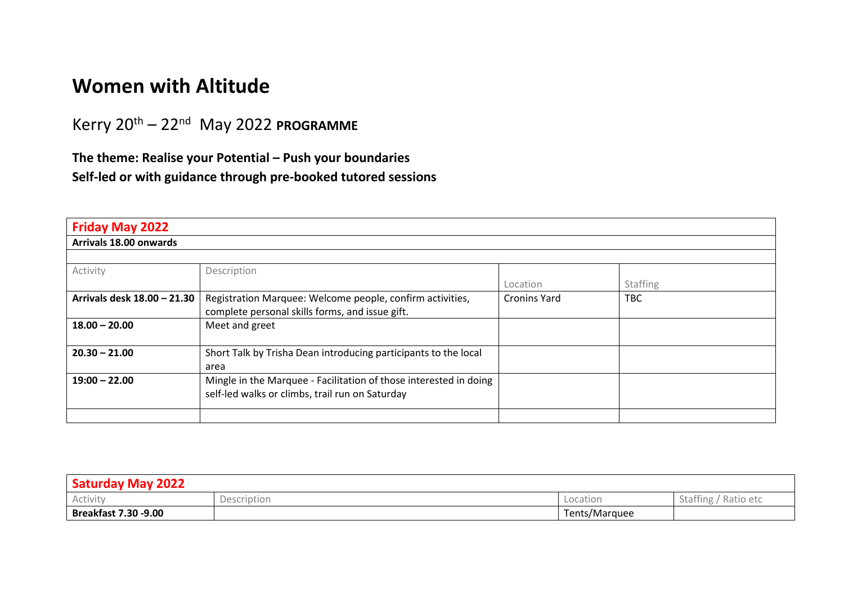## **Women with Altitude**

Kerry 20th – 22nd May 2022 **PROGRAMME**

**The theme: Realise your Potential – Push your boundaries Self-led or with guidance through pre-booked tutored sessions** 

| <b>Friday May 2022</b>      |                                                                   |                     |            |  |
|-----------------------------|-------------------------------------------------------------------|---------------------|------------|--|
| Arrivals 18.00 onwards      |                                                                   |                     |            |  |
|                             |                                                                   |                     |            |  |
| Activity                    | Description                                                       |                     |            |  |
|                             |                                                                   | Location            | Staffing   |  |
| Arrivals desk 18.00 - 21.30 | Registration Marquee: Welcome people, confirm activities,         | <b>Cronins Yard</b> | <b>TBC</b> |  |
|                             | complete personal skills forms, and issue gift.                   |                     |            |  |
| $18.00 - 20.00$             | Meet and greet                                                    |                     |            |  |
|                             |                                                                   |                     |            |  |
| $20.30 - 21.00$             | Short Talk by Trisha Dean introducing participants to the local   |                     |            |  |
|                             | area                                                              |                     |            |  |
| $19:00 - 22.00$             | Mingle in the Marquee - Facilitation of those interested in doing |                     |            |  |
|                             | self-led walks or climbs, trail run on Saturday                   |                     |            |  |
|                             |                                                                   |                     |            |  |
|                             |                                                                   |                     |            |  |

| <b>Saturday May 2022</b>    |             |               |                                        |
|-----------------------------|-------------|---------------|----------------------------------------|
| Activity                    | Description | Location      | Staffing<br>$\sim$ $\sim$<br>Ratio etc |
| <b>Breakfast 7.30 -9.00</b> |             | Tents/Marquee |                                        |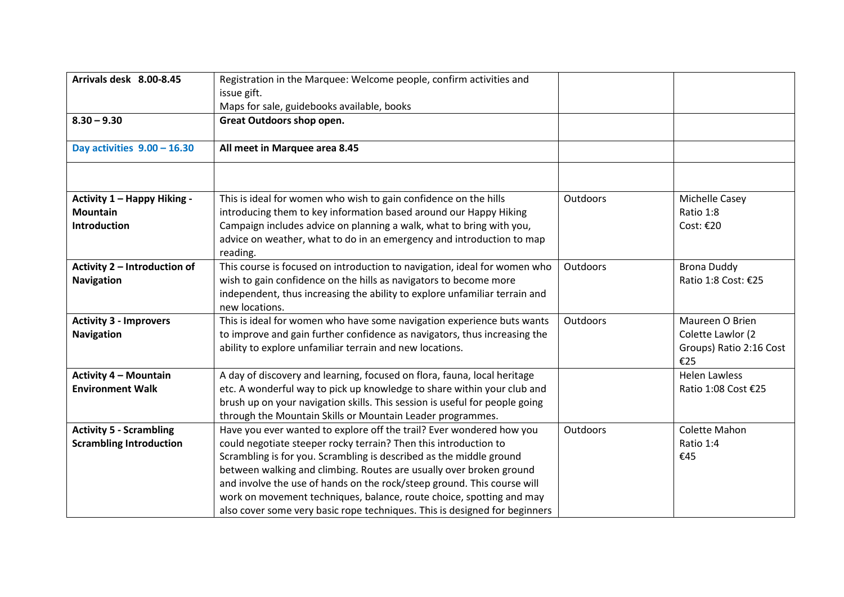| Arrivals desk 8.00-8.45            | Registration in the Marquee: Welcome people, confirm activities and<br>issue gift.           |                 |                                |
|------------------------------------|----------------------------------------------------------------------------------------------|-----------------|--------------------------------|
|                                    | Maps for sale, guidebooks available, books                                                   |                 |                                |
| $8.30 - 9.30$                      | Great Outdoors shop open.                                                                    |                 |                                |
| Day activities $9.00 - 16.30$      | All meet in Marquee area 8.45                                                                |                 |                                |
|                                    |                                                                                              |                 |                                |
| <b>Activity 1 - Happy Hiking -</b> | This is ideal for women who wish to gain confidence on the hills                             | Outdoors        | Michelle Casey                 |
| <b>Mountain</b>                    | introducing them to key information based around our Happy Hiking                            |                 | Ratio 1:8                      |
| <b>Introduction</b>                | Campaign includes advice on planning a walk, what to bring with you,                         |                 | Cost: €20                      |
|                                    | advice on weather, what to do in an emergency and introduction to map<br>reading.            |                 |                                |
| Activity 2 - Introduction of       | This course is focused on introduction to navigation, ideal for women who                    | Outdoors        | <b>Brona Duddy</b>             |
| <b>Navigation</b>                  | wish to gain confidence on the hills as navigators to become more                            |                 | Ratio 1:8 Cost: €25            |
|                                    | independent, thus increasing the ability to explore unfamiliar terrain and<br>new locations. |                 |                                |
| <b>Activity 3 - Improvers</b>      | This is ideal for women who have some navigation experience buts wants                       | Outdoors        | Maureen O Brien                |
| <b>Navigation</b>                  | to improve and gain further confidence as navigators, thus increasing the                    |                 | Colette Lawlor (2              |
|                                    | ability to explore unfamiliar terrain and new locations.                                     |                 | Groups) Ratio 2:16 Cost<br>€25 |
| <b>Activity 4 - Mountain</b>       | A day of discovery and learning, focused on flora, fauna, local heritage                     |                 | <b>Helen Lawless</b>           |
| <b>Environment Walk</b>            | etc. A wonderful way to pick up knowledge to share within your club and                      |                 | Ratio 1:08 Cost €25            |
|                                    | brush up on your navigation skills. This session is useful for people going                  |                 |                                |
|                                    | through the Mountain Skills or Mountain Leader programmes.                                   |                 |                                |
| <b>Activity 5 - Scrambling</b>     | Have you ever wanted to explore off the trail? Ever wondered how you                         | <b>Outdoors</b> | Colette Mahon                  |
| <b>Scrambling Introduction</b>     | could negotiate steeper rocky terrain? Then this introduction to                             |                 | Ratio 1:4                      |
|                                    | Scrambling is for you. Scrambling is described as the middle ground                          |                 | €45                            |
|                                    | between walking and climbing. Routes are usually over broken ground                          |                 |                                |
|                                    | and involve the use of hands on the rock/steep ground. This course will                      |                 |                                |
|                                    | work on movement techniques, balance, route choice, spotting and may                         |                 |                                |
|                                    | also cover some very basic rope techniques. This is designed for beginners                   |                 |                                |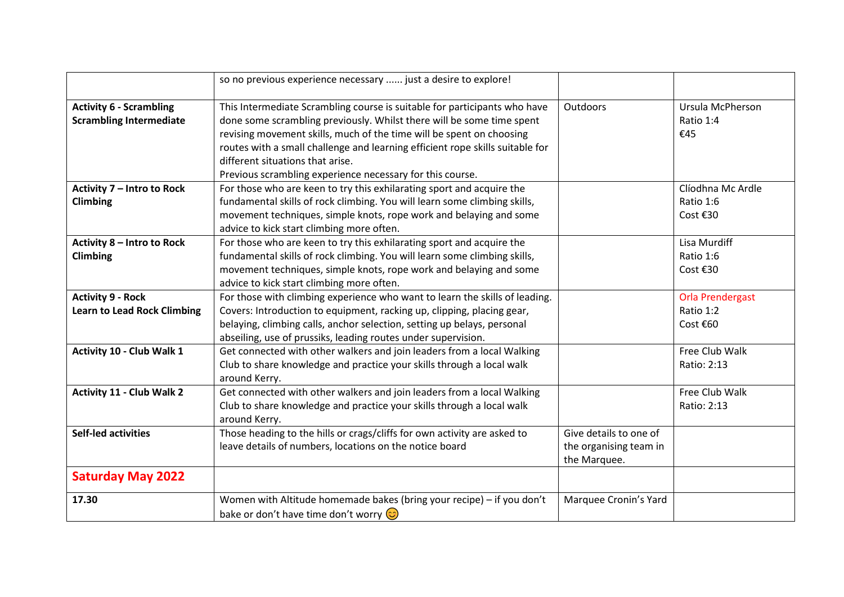|                                    | so no previous experience necessary  just a desire to explore!                |                        |                         |
|------------------------------------|-------------------------------------------------------------------------------|------------------------|-------------------------|
| <b>Activity 6 - Scrambling</b>     | This Intermediate Scrambling course is suitable for participants who have     | Outdoors               | Ursula McPherson        |
| <b>Scrambling Intermediate</b>     | done some scrambling previously. Whilst there will be some time spent         |                        | Ratio 1:4               |
|                                    | revising movement skills, much of the time will be spent on choosing          |                        | €45                     |
|                                    | routes with a small challenge and learning efficient rope skills suitable for |                        |                         |
|                                    | different situations that arise.                                              |                        |                         |
|                                    | Previous scrambling experience necessary for this course.                     |                        |                         |
| Activity 7 - Intro to Rock         | For those who are keen to try this exhilarating sport and acquire the         |                        | Clíodhna Mc Ardle       |
| Climbing                           | fundamental skills of rock climbing. You will learn some climbing skills,     |                        | Ratio 1:6               |
|                                    | movement techniques, simple knots, rope work and belaying and some            |                        | Cost €30                |
|                                    | advice to kick start climbing more often.                                     |                        |                         |
| Activity 8 - Intro to Rock         | For those who are keen to try this exhilarating sport and acquire the         |                        | Lisa Murdiff            |
| <b>Climbing</b>                    | fundamental skills of rock climbing. You will learn some climbing skills,     |                        | Ratio 1:6               |
|                                    | movement techniques, simple knots, rope work and belaying and some            |                        | Cost €30                |
|                                    | advice to kick start climbing more often.                                     |                        |                         |
| <b>Activity 9 - Rock</b>           | For those with climbing experience who want to learn the skills of leading.   |                        | <b>Orla Prendergast</b> |
| <b>Learn to Lead Rock Climbing</b> | Covers: Introduction to equipment, racking up, clipping, placing gear,        |                        | Ratio 1:2               |
|                                    | belaying, climbing calls, anchor selection, setting up belays, personal       |                        | Cost €60                |
|                                    | abseiling, use of prussiks, leading routes under supervision.                 |                        |                         |
| Activity 10 - Club Walk 1          | Get connected with other walkers and join leaders from a local Walking        |                        | Free Club Walk          |
|                                    | Club to share knowledge and practice your skills through a local walk         |                        | Ratio: 2:13             |
|                                    | around Kerry.                                                                 |                        |                         |
| <b>Activity 11 - Club Walk 2</b>   | Get connected with other walkers and join leaders from a local Walking        |                        | Free Club Walk          |
|                                    | Club to share knowledge and practice your skills through a local walk         |                        | Ratio: 2:13             |
|                                    | around Kerry.                                                                 |                        |                         |
| <b>Self-led activities</b>         | Those heading to the hills or crags/cliffs for own activity are asked to      | Give details to one of |                         |
|                                    | leave details of numbers, locations on the notice board                       | the organising team in |                         |
|                                    |                                                                               | the Marquee.           |                         |
| <b>Saturday May 2022</b>           |                                                                               |                        |                         |
| 17.30                              | Women with Altitude homemade bakes (bring your recipe) - if you don't         | Marquee Cronin's Yard  |                         |
|                                    | bake or don't have time don't worry $\circled{c}$                             |                        |                         |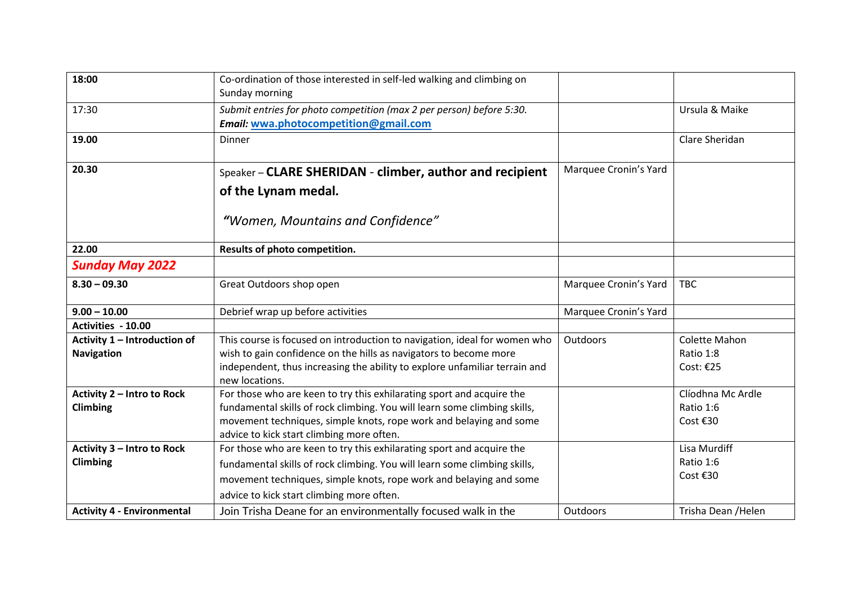| 18:00                                             | Co-ordination of those interested in self-led walking and climbing on<br>Sunday morning                                                                                                                                                                               |                       |                                            |
|---------------------------------------------------|-----------------------------------------------------------------------------------------------------------------------------------------------------------------------------------------------------------------------------------------------------------------------|-----------------------|--------------------------------------------|
| 17:30                                             | Submit entries for photo competition (max 2 per person) before 5:30.<br>Email: wwa.photocompetition@gmail.com                                                                                                                                                         |                       | Ursula & Maike                             |
| 19.00                                             | Dinner                                                                                                                                                                                                                                                                |                       | Clare Sheridan                             |
| 20.30                                             | Speaker - CLARE SHERIDAN - climber, author and recipient<br>of the Lynam medal.                                                                                                                                                                                       | Marquee Cronin's Yard |                                            |
|                                                   | "Women, Mountains and Confidence"                                                                                                                                                                                                                                     |                       |                                            |
| 22.00                                             | Results of photo competition.                                                                                                                                                                                                                                         |                       |                                            |
| <b>Sunday May 2022</b>                            |                                                                                                                                                                                                                                                                       |                       |                                            |
| $8.30 - 09.30$                                    | Great Outdoors shop open                                                                                                                                                                                                                                              | Marquee Cronin's Yard | <b>TBC</b>                                 |
| $9.00 - 10.00$                                    | Debrief wrap up before activities                                                                                                                                                                                                                                     | Marquee Cronin's Yard |                                            |
| Activities - 10.00                                |                                                                                                                                                                                                                                                                       |                       |                                            |
| Activity 1 - Introduction of<br><b>Navigation</b> | This course is focused on introduction to navigation, ideal for women who<br>wish to gain confidence on the hills as navigators to become more<br>independent, thus increasing the ability to explore unfamiliar terrain and<br>new locations.                        | Outdoors              | Colette Mahon<br>Ratio 1:8<br>Cost: €25    |
| Activity 2 - Intro to Rock<br>Climbing            | For those who are keen to try this exhilarating sport and acquire the<br>fundamental skills of rock climbing. You will learn some climbing skills,<br>movement techniques, simple knots, rope work and belaying and some<br>advice to kick start climbing more often. |                       | Clíodhna Mc Ardle<br>Ratio 1:6<br>Cost €30 |
| Activity 3 - Intro to Rock<br>Climbing            | For those who are keen to try this exhilarating sport and acquire the<br>fundamental skills of rock climbing. You will learn some climbing skills,<br>movement techniques, simple knots, rope work and belaying and some<br>advice to kick start climbing more often. |                       | Lisa Murdiff<br>Ratio 1:6<br>Cost €30      |
| <b>Activity 4 - Environmental</b>                 | Join Trisha Deane for an environmentally focused walk in the                                                                                                                                                                                                          | Outdoors              | Trisha Dean / Helen                        |